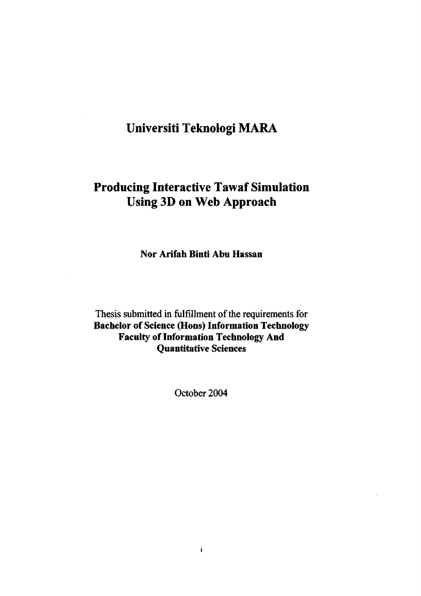# **Universiti Teknologi MARA**

## **Producing Interactive Tawaf Simulation Using 3D on Web Approach**

**Nor Arifah Binti Abu Hassan** 

Thesis submitted in fulfillment of the requirements for **Bachelor of Science (Hons) Information Technology Faculty of Information Technology And Quantitative Sciences** 

October 2004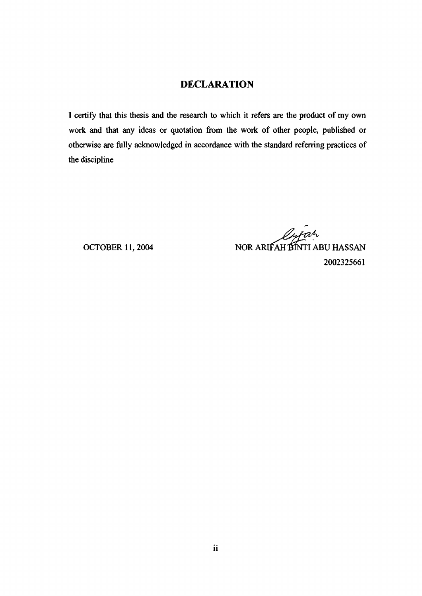## **DECLARATION**

I certify that this thesis and the research to which it refers are the product of my own work and that any ideas or quotation from the work of other people, published or otherwise are fully acknowledged in accordance with the standard referring practices of the discipline

Oyfar OCTOBER 11, 2004 NOR ARIFAH BINTI ABU HASSAN 2002325661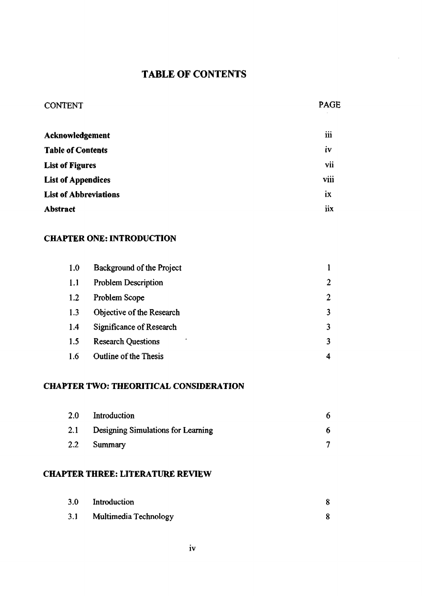## TABLE OF CONTENTS

| <b>CONTENT</b> | <b>PAGE</b> |
|----------------|-------------|
|----------------|-------------|

| Acknowledgement              | <br>111 |
|------------------------------|---------|
| <b>Table of Contents</b>     | iv      |
| <b>List of Figures</b>       | vii     |
| <b>List of Appendices</b>    | viii    |
| <b>List of Abbreviations</b> | ix      |
| Abstract                     | iix     |

#### **CHAPTER ONE: INTRODUCTION**

| 1.0 | Background of the Project    |   |
|-----|------------------------------|---|
| 1.1 | <b>Problem Description</b>   | 2 |
| 1.2 | Problem Scope                | 2 |
| 1.3 | Objective of the Research    |   |
| 1.4 | Significance of Research     |   |
| 1.5 | <b>Research Questions</b>    | 3 |
| 1.6 | <b>Outline of the Thesis</b> |   |

## **CHAPTER TWO: THEORITICAL CONSIDERATION**

| 2.0 | Introduction                       |  |
|-----|------------------------------------|--|
| 2.1 | Designing Simulations for Learning |  |
| 2.2 | Summary                            |  |

#### **CHAPTER THREE: LITERATURE REVIEW**

| 3.0 | Introduction          |  |
|-----|-----------------------|--|
| 3.1 | Multimedia Technology |  |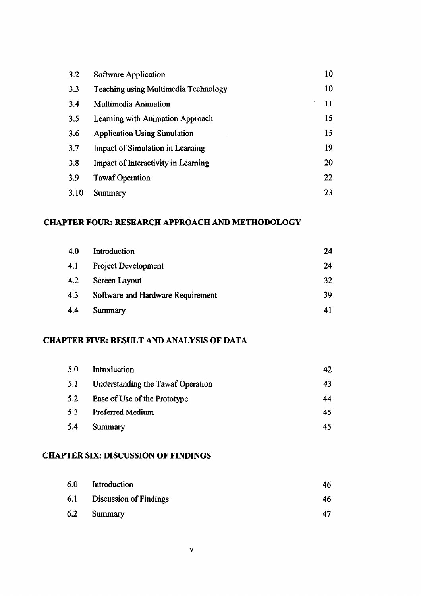| 3.2  | Software Application                       | 10 |
|------|--------------------------------------------|----|
| 3.3  | Teaching using Multimedia Technology       | 10 |
| 3.4  | Multimedia Animation                       | 11 |
| 3.5  | Learning with Animation Approach           | 15 |
| 3.6  | <b>Application Using Simulation</b>        | 15 |
| 3.7  | <b>Impact of Simulation in Learning</b>    | 19 |
| 3.8  | <b>Impact of Interactivity in Learning</b> | 20 |
| 3.9  | <b>Tawaf Operation</b>                     | 22 |
| 3.10 | Summary                                    | 23 |

## **CHAPTER FOUR: RESEARCH APPROACH AND METHODOLOGY**

| 4.0 | Introduction                      | 24 |
|-----|-----------------------------------|----|
| 4.1 | <b>Project Development</b>        | 24 |
| 4.2 | Screen Layout                     | 32 |
| 4.3 | Software and Hardware Requirement | 30 |
| 4.4 | Summary                           | 41 |

#### **CHAPTER FIVE: RESULT AND ANALYSIS OF DATA**

| 5.0 | Introduction                      | 42 |
|-----|-----------------------------------|----|
| 5.1 | Understanding the Tawaf Operation | 43 |
| 5.2 | Ease of Use of the Prototype      | 44 |
| 5.3 | Preferred Medium                  | 45 |
| 5.4 | Summary                           | 45 |

## **CHAPTER SIX: DISCUSSION OF FINDINGS**

| 6.0 | Introduction                  | 46  |
|-----|-------------------------------|-----|
| 6.1 | <b>Discussion of Findings</b> | -46 |
| 6.2 | Summary                       | 47  |